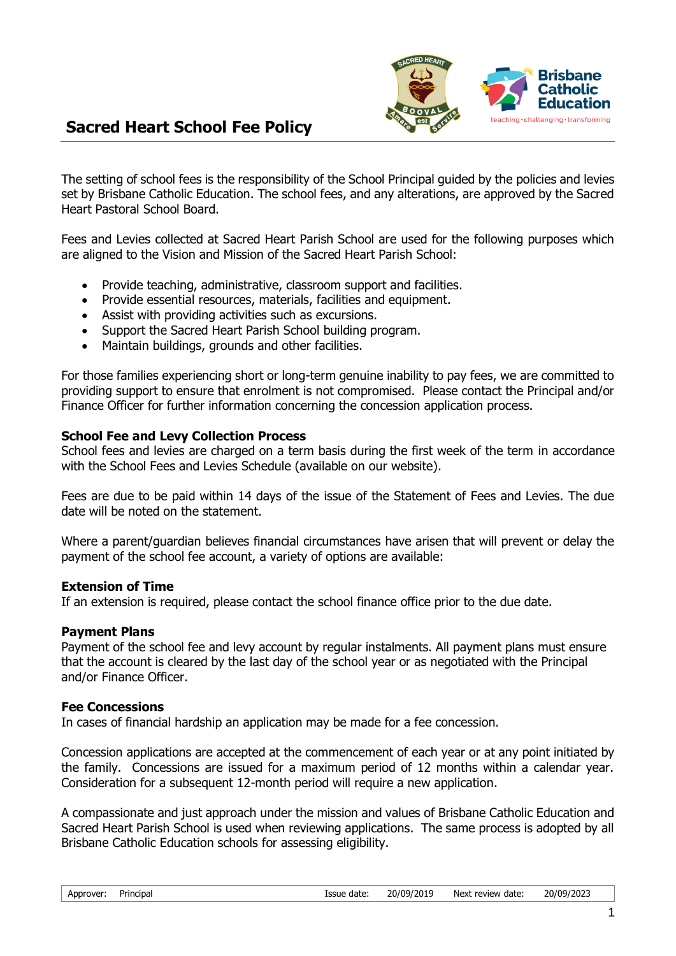

## **Sacred Heart School Fee Policy**

The setting of school fees is the responsibility of the School Principal guided by the policies and levies set by Brisbane Catholic Education. The school fees, and any alterations, are approved by the Sacred Heart Pastoral School Board.

Fees and Levies collected at Sacred Heart Parish School are used for the following purposes which are aligned to the Vision and Mission of the Sacred Heart Parish School:

- Provide teaching, administrative, classroom support and facilities.
- Provide essential resources, materials, facilities and equipment.
- Assist with providing activities such as excursions.
- Support the Sacred Heart Parish School building program.
- Maintain buildings, grounds and other facilities.

For those families experiencing short or long-term genuine inability to pay fees, we are committed to providing support to ensure that enrolment is not compromised. Please contact the Principal and/or Finance Officer for further information concerning the concession application process.

#### **School Fee and Levy Collection Process**

School fees and levies are charged on a term basis during the first week of the term in accordance with the School Fees and Levies Schedule (available on our website).

Fees are due to be paid within 14 days of the issue of the Statement of Fees and Levies. The due date will be noted on the statement.

Where a parent/guardian believes financial circumstances have arisen that will prevent or delay the payment of the school fee account, a variety of options are available:

#### **Extension of Time**

If an extension is required, please contact the school finance office prior to the due date.

#### **Payment Plans**

Payment of the school fee and levy account by regular instalments. All payment plans must ensure that the account is cleared by the last day of the school year or as negotiated with the Principal and/or Finance Officer.

#### **Fee Concessions**

In cases of financial hardship an application may be made for a fee concession.

Concession applications are accepted at the commencement of each year or at any point initiated by the family. Concessions are issued for a maximum period of 12 months within a calendar year. Consideration for a subsequent 12-month period will require a new application.

A compassionate and just approach under the mission and values of Brisbane Catholic Education and Sacred Heart Parish School is used when reviewing applications. The same process is adopted by all Brisbane Catholic Education schools for assessing eligibility.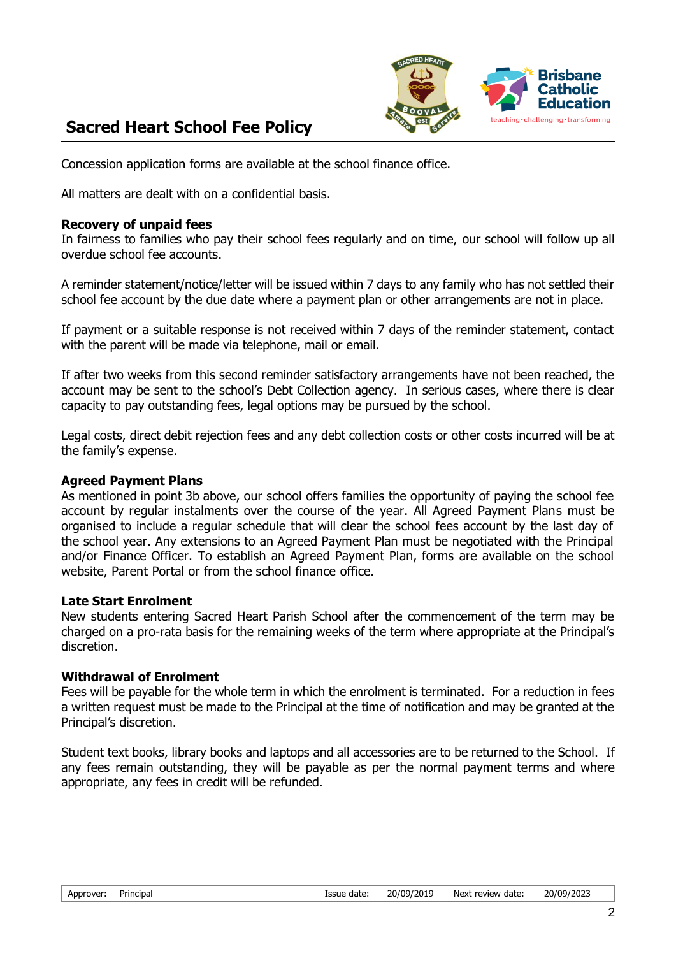

# **Sacred Heart School Fee Policy**

Concession application forms are available at the school finance office.

All matters are dealt with on a confidential basis.

#### **Recovery of unpaid fees**

In fairness to families who pay their school fees regularly and on time, our school will follow up all overdue school fee accounts.

A reminder statement/notice/letter will be issued within 7 days to any family who has not settled their school fee account by the due date where a payment plan or other arrangements are not in place.

If payment or a suitable response is not received within 7 days of the reminder statement, contact with the parent will be made via telephone, mail or email.

If after two weeks from this second reminder satisfactory arrangements have not been reached, the account may be sent to the school's Debt Collection agency. In serious cases, where there is clear capacity to pay outstanding fees, legal options may be pursued by the school.

Legal costs, direct debit rejection fees and any debt collection costs or other costs incurred will be at the family's expense.

### **Agreed Payment Plans**

As mentioned in point 3b above, our school offers families the opportunity of paying the school fee account by regular instalments over the course of the year. All Agreed Payment Plans must be organised to include a regular schedule that will clear the school fees account by the last day of the school year. Any extensions to an Agreed Payment Plan must be negotiated with the Principal and/or Finance Officer. To establish an Agreed Payment Plan, forms are available on the school website, Parent Portal or from the school finance office.

#### **Late Start Enrolment**

New students entering Sacred Heart Parish School after the commencement of the term may be charged on a pro-rata basis for the remaining weeks of the term where appropriate at the Principal's discretion.

#### **Withdrawal of Enrolment**

Fees will be payable for the whole term in which the enrolment is terminated. For a reduction in fees a written request must be made to the Principal at the time of notification and may be granted at the Principal's discretion.

Student text books, library books and laptops and all accessories are to be returned to the School. If any fees remain outstanding, they will be payable as per the normal payment terms and where appropriate, any fees in credit will be refunded.